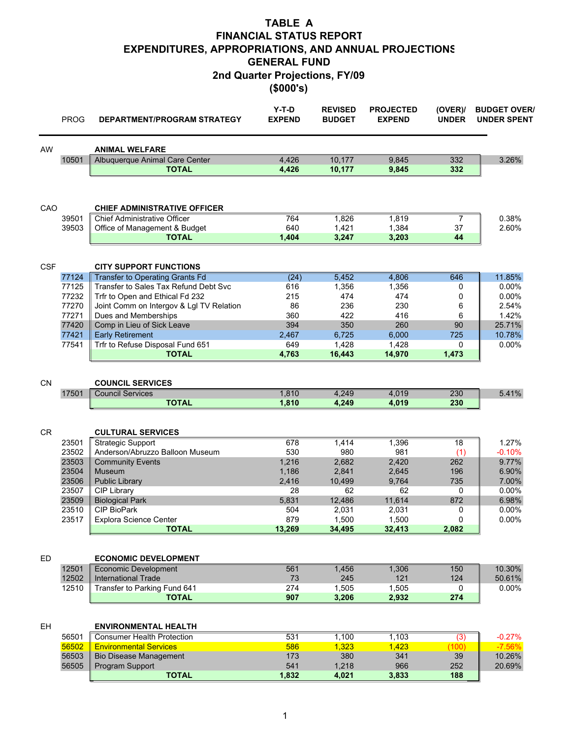(\$000's)

|            | <b>PROG</b>    | <b>DEPARTMENT/PROGRAM STRATEGY</b>                                       | $Y-T-D$<br><b>EXPEND</b> | <b>REVISED</b><br><b>BUDGET</b> | <b>PROJECTED</b><br><b>EXPEND</b> | (OVER)<br><b>UNDER</b> | <b>BUDGET OVER/</b><br><b>UNDER SPENT</b> |
|------------|----------------|--------------------------------------------------------------------------|--------------------------|---------------------------------|-----------------------------------|------------------------|-------------------------------------------|
| AW         |                | <b>ANIMAL WELFARE</b>                                                    |                          |                                 |                                   |                        |                                           |
|            | 10501          | Albuquerque Animal Care Center<br><b>TOTAL</b>                           | 4,426<br>4,426           | 10,177<br>10,177                | 9,845<br>9,845                    | 332<br>332             | 3.26%                                     |
| CAO        |                | <b>CHIEF ADMINISTRATIVE OFFICER</b>                                      |                          |                                 |                                   |                        |                                           |
|            | 39501          | <b>Chief Administrative Officer</b>                                      | 764                      | 1,826                           | 1,819                             | 7                      | 0.38%                                     |
|            | 39503          | Office of Management & Budget                                            | 640                      | 1,421                           | 1,384                             | 37                     | 2.60%                                     |
|            |                | <b>TOTAL</b>                                                             | 1,404                    | 3,247                           | 3,203                             | 44                     |                                           |
| <b>CSF</b> |                | <b>CITY SUPPORT FUNCTIONS</b>                                            |                          |                                 |                                   |                        |                                           |
|            | 77124          | <b>Transfer to Operating Grants Fd</b>                                   | (24)                     | 5,452                           | 4,806                             | 646                    | 11.85%                                    |
|            | 77125<br>77232 | Transfer to Sales Tax Refund Debt Svc<br>Trfr to Open and Ethical Fd 232 | 616<br>215               | 1,356<br>474                    | 1,356<br>474                      | 0<br>0                 | 0.00%<br>0.00%                            |
|            | 77270          | Joint Comm on Intergov & Lgl TV Relation                                 | 86                       | 236                             | 230                               | 6                      | 2.54%                                     |
|            | 77271          | Dues and Memberships                                                     | 360                      | 422                             | 416                               | 6                      | 1.42%                                     |
|            | 77420          | Comp in Lieu of Sick Leave                                               | 394                      | 350                             | 260                               | 90                     | 25.71%                                    |
|            | 77421          | <b>Early Retirement</b>                                                  | 2,467                    | 6,725                           | 6,000                             | 725                    | 10.78%                                    |
|            | 77541          | Trfr to Refuse Disposal Fund 651                                         | 649                      | 1.428                           | 1,428                             | 0                      | 0.00%                                     |
|            |                | <b>TOTAL</b>                                                             | 4,763                    | 16,443                          | 14,970                            | 1,473                  |                                           |
| <b>CN</b>  |                | <b>COUNCIL SERVICES</b>                                                  |                          |                                 |                                   |                        |                                           |
|            | 17501          | <b>Council Services</b>                                                  | 1,810                    | 4,249                           | 4,019                             | 230                    | 5.41%                                     |
|            |                | <b>TOTAL</b>                                                             | 1,810                    | 4,249                           | 4,019                             | 230                    |                                           |
|            |                |                                                                          |                          |                                 |                                   |                        |                                           |
| <b>CR</b>  |                | <b>CULTURAL SERVICES</b>                                                 |                          |                                 |                                   |                        |                                           |
|            | 23501<br>23502 | <b>Strategic Support</b><br>Anderson/Abruzzo Balloon Museum              | 678<br>530               | 1,414<br>980                    | 1,396<br>981                      | 18<br>(1)              | 1.27%<br>$-0.10%$                         |
|            | 23503          | <b>Community Events</b>                                                  | 1,216                    | 2,682                           | 2,420                             | 262                    | 9.77%                                     |
|            | 23504          | Museum                                                                   | 1,186                    | 2,841                           | 2,645                             | 196                    | 6.90%                                     |
|            | 23506          | <b>Public Library</b>                                                    | 2,416                    | 10,499                          | 9,764                             | 735                    | 7.00%                                     |
|            | 23507          | CIP Library                                                              | 28                       | 62                              | 62                                | 0                      | 0.00%                                     |
|            | 23509          | <b>Biological Park</b>                                                   | 5,831                    | 12,486                          | 11,614                            | 872                    | 6.98%                                     |
|            | 23510          | <b>CIP BioPark</b>                                                       | 504                      | 2,031                           | 2.031                             | 0                      | $0.00\%$                                  |
|            | 23517          | Explora Science Center<br><b>TOTAL</b>                                   | 879<br>13,269            | 1,500<br>34,495                 | 1,500<br>32,413                   | 0<br>2,082             | 0.00%                                     |
|            |                |                                                                          |                          |                                 |                                   |                        |                                           |
| ED         |                | <b>ECONOMIC DEVELOPMENT</b>                                              |                          |                                 |                                   |                        |                                           |
|            | 12501          | <b>Economic Development</b>                                              | 561                      | 1,456                           | 1,306                             | 150                    | 10.30%                                    |
|            | 12502          | <b>International Trade</b>                                               | 73                       | 245                             | 121                               | 124                    | 50.61%                                    |
|            | 12510          | Transfer to Parking Fund 641                                             | 274                      | 1,505                           | 1,505                             | 0                      | $0.00\%$                                  |
|            |                | <b>TOTAL</b>                                                             | 907                      | 3,206                           | 2,932                             | 274                    |                                           |
| EH.        |                | <b>ENVIRONMENTAL HEALTH</b>                                              |                          |                                 |                                   |                        |                                           |
|            | 56501          | <b>Consumer Health Protection</b>                                        | 531                      | 1,100                           | 1,103                             | $\overline{(3)}$       | $-0.27%$                                  |
|            | 56502          | <b>Environmental Services</b>                                            | 586                      | 1,323                           | 1,423                             | (100)                  | $-7.56%$                                  |
|            | 56503          | <b>Bio Disease Management</b>                                            | 173                      | 380                             | 341                               | 39                     | 10.26%                                    |
|            | 56505          | Program Support<br><b>TOTAL</b>                                          | 541<br>1,832             | 1,218<br>4,021                  | 966<br>3,833                      | 252<br>188             | 20.69%                                    |
|            |                |                                                                          |                          |                                 |                                   |                        |                                           |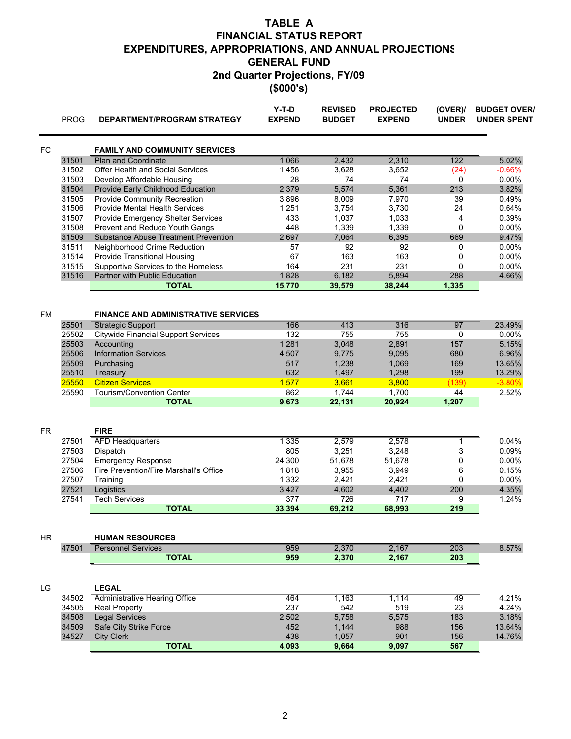| (\$000's) |  |
|-----------|--|
|-----------|--|

|    | <b>PROG</b>    | DEPARTMENT/PROGRAM STRATEGY                                            | $Y-T-D$<br><b>EXPEND</b> | <b>REVISED</b><br><b>BUDGET</b> | <b>PROJECTED</b><br><b>EXPEND</b> | (OVER)<br><b>UNDER</b> | <b>BUDGET OVER/</b><br><b>UNDER SPENT</b> |
|----|----------------|------------------------------------------------------------------------|--------------------------|---------------------------------|-----------------------------------|------------------------|-------------------------------------------|
| FC |                | <b>FAMILY AND COMMUNITY SERVICES</b>                                   |                          |                                 |                                   |                        |                                           |
|    | 31501          | <b>Plan and Coordinate</b>                                             | 1,066                    | 2,432                           | 2,310                             | 122                    | 5.02%                                     |
|    | 31502          | Offer Health and Social Services                                       | 1,456                    | 3,628                           | 3,652                             | (24)                   | $-0.66%$                                  |
|    | 31503          | Develop Affordable Housing                                             | 28                       | 74                              | 74                                | 0                      | 0.00%                                     |
|    | 31504          | Provide Early Childhood Education                                      | 2,379                    | 5,574                           | 5,361                             | 213                    | 3.82%                                     |
|    | 31505          | Provide Community Recreation                                           | 3,896                    | 8,009                           | 7,970                             | 39                     | 0.49%                                     |
|    | 31506          | Provide Mental Health Services                                         | 1,251                    | 3,754                           | 3,730                             | 24                     | 0.64%                                     |
|    | 31507          | Provide Emergency Shelter Services                                     | 433                      | 1,037                           | 1,033                             | 4                      | 0.39%                                     |
|    | 31508          | Prevent and Reduce Youth Gangs                                         | 448                      | 1,339                           | 1,339                             | 0                      | 0.00%                                     |
|    | 31509          | <b>Substance Abuse Treatment Prevention</b>                            | 2,697                    | 7,064                           | 6,395                             | 669                    | 9.47%                                     |
|    | 31511          | Neighborhood Crime Reduction                                           | 57                       | 92                              | 92                                | 0                      | 0.00%                                     |
|    | 31514          | <b>Provide Transitional Housing</b>                                    | 67                       | 163                             | 163                               | 0                      | 0.00%                                     |
|    | 31515          | Supportive Services to the Homeless                                    | 164                      | 231                             | 231                               | 0                      | 0.00%                                     |
|    | 31516          | Partner with Public Education                                          | 1,828                    | 6,182                           | 5,894                             | 288                    | 4.66%                                     |
|    |                | <b>TOTAL</b>                                                           | 15,770                   | 39,579                          | 38,244                            | 1,335                  |                                           |
|    |                |                                                                        |                          |                                 |                                   |                        |                                           |
|    |                |                                                                        |                          |                                 |                                   |                        |                                           |
| FM | 25501          | <b>FINANCE AND ADMINISTRATIVE SERVICES</b><br><b>Strategic Support</b> | 166                      | 413                             | 316                               | 97                     | 23.49%                                    |
|    | 25502          | <b>Citywide Financial Support Services</b>                             | 132                      | 755                             | 755                               | 0                      | 0.00%                                     |
|    |                |                                                                        |                          |                                 | 2,891                             |                        |                                           |
|    | 25503<br>25506 | Accounting<br><b>Information Services</b>                              | 1,281<br>4,507           | 3,048<br>9,775                  |                                   | 157<br>680             | 5.15%<br>6.96%                            |
|    | 25509          |                                                                        | 517                      | 1,238                           | 9,095                             | 169                    | 13.65%                                    |
|    | 25510          | Purchasing<br>Treasury                                                 | 632                      | 1,497                           | 1,069                             | 199                    |                                           |
|    |                |                                                                        |                          |                                 | 1,298                             |                        | 13.29%                                    |
|    | 25550          | <b>Citizen Services</b>                                                | 1,577                    | 3,661                           | 3,800                             | (139)<br>44            | $-3.80%$                                  |
|    | 25590          | <b>Tourism/Convention Center</b><br><b>TOTAL</b>                       | 862<br>9,673             | 1,744<br>22,131                 | 1,700<br>20,924                   | 1,207                  | 2.52%                                     |
|    |                |                                                                        |                          |                                 |                                   |                        |                                           |
|    |                |                                                                        |                          |                                 |                                   |                        |                                           |
| FR |                | <b>FIRE</b>                                                            |                          |                                 |                                   |                        |                                           |
|    | 27501          | <b>AFD Headquarters</b>                                                | 1,335                    | 2,579                           | 2,578                             | $\overline{1}$         | 0.04%                                     |
|    | 27503          | Dispatch                                                               | 805                      | 3,251                           | 3,248                             | 3                      | 0.09%                                     |
|    | 27504          | <b>Emergency Response</b>                                              | 24,300                   | 51,678                          | 51,678                            | 0                      | 0.00%                                     |
|    | 27506          | Fire Prevention/Fire Marshall's Office                                 | 1,818                    | 3,955                           | 3,949                             | 6                      | 0.15%                                     |
|    | 27507          | Training                                                               | 1,332                    | 2,421                           | 2,421                             | 0                      | 0.00%                                     |
|    | 27521          | Logistics                                                              | 3,427                    | 4,602                           | 4,402                             | 200                    | 4.35%                                     |
|    | 27541          | <b>Tech Services</b>                                                   | 377                      | 726                             | 717                               | 9                      | 1.24%                                     |
|    |                | <b>TOTAL</b>                                                           | 33,394                   | 69,212                          | 68,993                            | 219                    |                                           |
|    |                |                                                                        |                          |                                 |                                   |                        |                                           |
| ΗR |                | <b>HUMAN RESOURCES</b>                                                 |                          |                                 |                                   |                        |                                           |
|    | 47501          | <b>Personnel Services</b>                                              | 959                      | 2,370                           | 2,167                             | 203                    | 8.57%                                     |
|    |                | <b>TOTAL</b>                                                           | 959                      | 2,370                           | 2,167                             | 203                    |                                           |
|    |                |                                                                        |                          |                                 |                                   |                        |                                           |
|    |                |                                                                        |                          |                                 |                                   |                        |                                           |
| LG | 34502          | <b>LEGAL</b><br><b>Administrative Hearing Office</b>                   | 464                      | 1,163                           | 1,114                             |                        | 4.21%                                     |
|    |                |                                                                        |                          |                                 |                                   | 49                     |                                           |
|    | 34505          | <b>Real Property</b>                                                   | 237                      | 542                             | 519                               | 23                     | 4.24%                                     |
|    | 34508          | <b>Legal Services</b>                                                  | 2,502                    | 5,758                           | 5,575                             | 183                    | 3.18%                                     |
|    | 34509          | Safe City Strike Force                                                 | 452                      | 1,144                           | 988                               | 156                    | 13.64%                                    |
|    | 34527          | <b>City Clerk</b>                                                      | 438                      | 1,057                           | 901                               | 156                    | 14.76%                                    |
|    |                | <b>TOTAL</b>                                                           | 4,093                    | 9,664                           | 9,097                             | 567                    |                                           |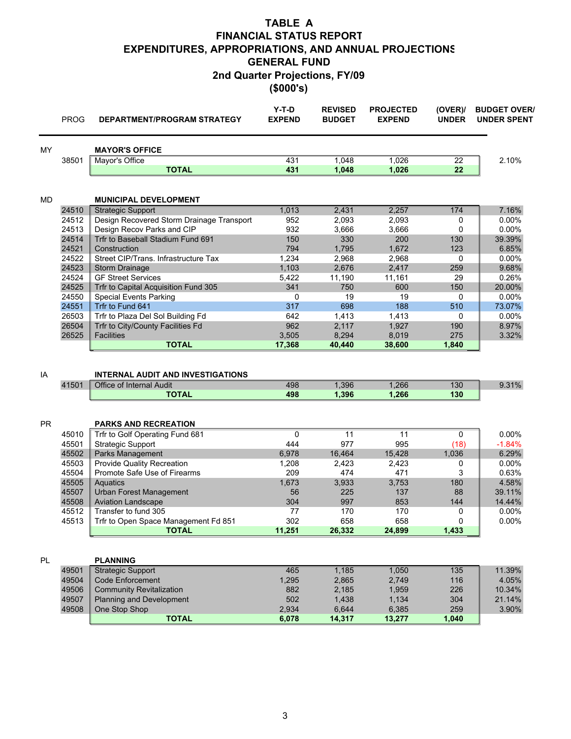(\$000's)

|           | <b>PROG</b> | DEPARTMENT/PROGRAM STRATEGY                                          | $Y-T-D$<br><b>EXPEND</b> | <b>REVISED</b><br><b>BUDGET</b> | <b>PROJECTED</b><br><b>EXPEND</b> | (OVER)<br><b>UNDER</b> | <b>BUDGET OVER/</b><br><b>UNDER SPENT</b> |
|-----------|-------------|----------------------------------------------------------------------|--------------------------|---------------------------------|-----------------------------------|------------------------|-------------------------------------------|
| MY        |             | <b>MAYOR'S OFFICE</b>                                                |                          |                                 |                                   |                        |                                           |
|           | 38501       | Mayor's Office                                                       | 431                      | 1,048                           | 1,026                             | $\overline{22}$        | 2.10%                                     |
|           |             | <b>TOTAL</b>                                                         | 431                      | 1,048                           | 1,026                             | 22                     |                                           |
| MD        |             | <b>MUNICIPAL DEVELOPMENT</b>                                         |                          |                                 |                                   |                        |                                           |
|           | 24510       | <b>Strategic Support</b>                                             | 1,013                    | 2,431                           | 2,257                             | 174                    | 7.16%                                     |
|           | 24512       | Design Recovered Storm Drainage Transport                            | 952                      | 2,093                           | 2,093                             | 0                      | 0.00%                                     |
|           | 24513       | Design Recov Parks and CIP                                           | 932                      | 3,666                           | 3,666                             | 0                      | 0.00%                                     |
|           | 24514       | Trfr to Baseball Stadium Fund 691                                    | 150                      | 330                             | 200                               | 130                    | 39.39%                                    |
|           | 24521       | Construction                                                         | 794                      | 1,795                           | 1,672                             | 123                    | 6.85%                                     |
|           | 24522       | Street CIP/Trans. Infrastructure Tax                                 | 1,234                    | 2,968                           | 2,968                             | 0                      | 0.00%                                     |
|           | 24523       | <b>Storm Drainage</b>                                                | 1,103                    | 2,676                           | 2,417                             | 259                    | 9.68%                                     |
|           | 24524       | <b>GF Street Services</b>                                            | 5,422                    | 11,190                          | 11,161                            | 29                     | 0.26%                                     |
|           | 24525       | Trfr to Capital Acquisition Fund 305                                 | 341                      | 750                             | 600                               | 150                    | 20.00%                                    |
|           | 24550       | <b>Special Events Parking</b>                                        | 0                        | 19                              | 19                                | 0                      | 0.00%                                     |
|           | 24551       | Trfr to Fund 641                                                     | 317                      | 698                             | 188                               | 510                    | 73.07%                                    |
|           | 26503       | Trfr to Plaza Del Sol Building Fd                                    | 642                      | 1,413                           | 1,413                             | 0                      | 0.00%                                     |
|           | 26504       | Trfr to City/County Facilities Fd                                    | 962                      | 2,117                           | 1,927                             | 190                    | 8.97%                                     |
|           | 26525       | <b>Facilities</b>                                                    | 3,505                    | 8,294                           | 8,019                             | 275                    | 3.32%                                     |
|           |             | <b>TOTAL</b>                                                         | 17,368                   | 40,440                          | 38,600                            | 1,840                  |                                           |
| IA        | 41501       | <b>INTERNAL AUDIT AND INVESTIGATIONS</b><br>Office of Internal Audit | 498                      | 1,396                           | 1,266                             | 130                    | 9.31%                                     |
|           |             | <b>TOTAL</b>                                                         | 498                      | 1,396                           | 1,266                             | 130                    |                                           |
| <b>PR</b> | 45010       | <b>PARKS AND RECREATION</b><br>Trfr to Golf Operating Fund 681       | 0                        | 11                              | 11                                | 0                      | $0.00\%$                                  |
|           | 45501       | <b>Strategic Support</b>                                             | 444                      | 977                             | 995                               | (18)                   | $-1.84%$                                  |
|           | 45502       | Parks Management                                                     | 6,978                    | 16,464                          | 15,428                            | 1,036                  | 6.29%                                     |
|           | 45503       | Provide Quality Recreation                                           | 1,208                    | 2,423                           | 2,423                             | 0                      | 0.00%                                     |
|           | 45504       | Promote Safe Use of Firearms                                         | 209                      | 474                             | 471                               | 3                      | 0.63%                                     |
|           | 45505       | Aquatics                                                             | 1,673                    | 3,933                           | 3,753                             | 180                    | 4.58%                                     |
|           | 45507       | <b>Urban Forest Management</b>                                       | 56                       | 225                             | 137                               | 88                     | 39.11%                                    |
|           | 45508       | <b>Aviation Landscape</b>                                            | 304                      | 997                             | 853                               | 144                    | 14.44%                                    |
|           | 45512       | Transfer to fund 305                                                 | 77                       | 170                             | 170                               | 0                      | $0.00\%$                                  |
|           | 45513       | Trfr to Open Space Management Fd 851                                 | 302                      | 658                             | 658                               | 0                      | 0.00%                                     |
|           |             | <b>TOTAL</b>                                                         | 11,251                   | 26,332                          | 24,899                            | 1,433                  |                                           |
| PL        |             | <b>PLANNING</b>                                                      |                          |                                 |                                   |                        |                                           |
|           | 49501       | <b>Strategic Support</b>                                             | 465                      | 1,185                           | 1,050                             | 135                    | 11.39%                                    |
|           | 49504       | Code Enforcement                                                     | 1,295                    | 2,865                           | 2,749                             | 116                    | 4.05%                                     |
|           | 49506       | <b>Community Revitalization</b>                                      | 882                      | 2,185                           | 1,959                             | 226                    | 10.34%                                    |
|           | 49507       | <b>Planning and Development</b>                                      | 502                      | 1,438                           | 1,134                             | 304                    | 21.14%                                    |
|           | 49508       | One Stop Shop                                                        | 2,934                    | 6,644                           | 6,385                             | 259                    | 3.90%                                     |
|           |             | <b>TOTAL</b>                                                         | 6,078                    | 14,317                          | 13,277                            | 1,040                  |                                           |